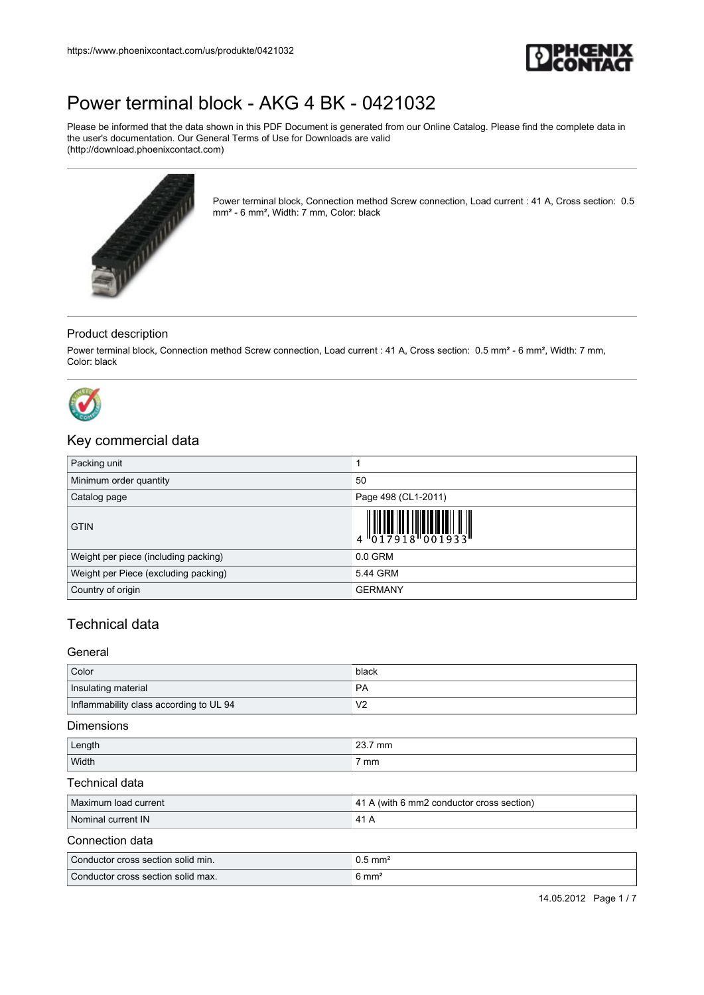

Please be informed that the data shown in this PDF Document is generated from our Online Catalog. Please find the complete data in the user's documentation. Our General Terms of Use for Downloads are valid (http://download.phoenixcontact.com)



Power terminal block, Connection method Screw connection, Load current : 41 A, Cross section: 0.5 mm² - 6 mm², Width: 7 mm, Color: black

### Product description

Power terminal block, Connection method Screw connection, Load current : 41 A, Cross section: 0.5 mm² - 6 mm², Width: 7 mm, Color: black



## Key commercial data

| Packing unit                         |                                                                                                                                                                                                                                                                                                                                                                                                                                                                                |
|--------------------------------------|--------------------------------------------------------------------------------------------------------------------------------------------------------------------------------------------------------------------------------------------------------------------------------------------------------------------------------------------------------------------------------------------------------------------------------------------------------------------------------|
| Minimum order quantity               | 50                                                                                                                                                                                                                                                                                                                                                                                                                                                                             |
| Catalog page                         | Page 498 (CL1-2011)                                                                                                                                                                                                                                                                                                                                                                                                                                                            |
| <b>GTIN</b>                          | $\left\  \begin{matrix} 1 \\ 0 \\ 1 \end{matrix} \right\ _2 \left\  \begin{matrix} 1 \\ 0 \\ 1 \end{matrix} \right\ _2 \left\  \begin{matrix} 1 \\ 0 \\ 0 \\ 0 \end{matrix} \right\ _2 \left\  \begin{matrix} 1 \\ 0 \\ 0 \\ 0 \end{matrix} \right\ _2 \left\  \begin{matrix} 1 \\ 0 \\ 0 \\ 0 \end{matrix} \right\ _2 \left\  \begin{matrix} 1 \\ 0 \\ 0 \\ 0 \end{matrix} \right\ _2 \left\  \begin{matrix} 1 \\ 0 \\ 0 \\ 0 \end{matrix} \right\ _2 \left\  \begin{matrix}$ |
| Weight per piece (including packing) | $0.0$ GRM                                                                                                                                                                                                                                                                                                                                                                                                                                                                      |
| Weight per Piece (excluding packing) | 5.44 GRM                                                                                                                                                                                                                                                                                                                                                                                                                                                                       |
| Country of origin                    | <b>GERMANY</b>                                                                                                                                                                                                                                                                                                                                                                                                                                                                 |

## Technical data

## General

| Color                                   | black          |
|-----------------------------------------|----------------|
| Insulating material                     | PA             |
| Inflammability class according to UL 94 | V <sub>2</sub> |

#### **Dimensions**

| ∟ength | $\cap$<br>mm<br>ںے<br>the contract of the contract of the contract of the contract of the contract of |
|--------|-------------------------------------------------------------------------------------------------------|
| Width  | -<br>7 mm                                                                                             |

#### Technical data

| Maximum load current | 41 A (with 6 mm2 conductor cross section) |
|----------------------|-------------------------------------------|
| Nominal current IN   | 41,                                       |

#### Connection data

| <sup>1</sup> Conductor cross section solid min. | mm              |
|-------------------------------------------------|-----------------|
| Conductor cross section solid max.              | mm <sup>2</sup> |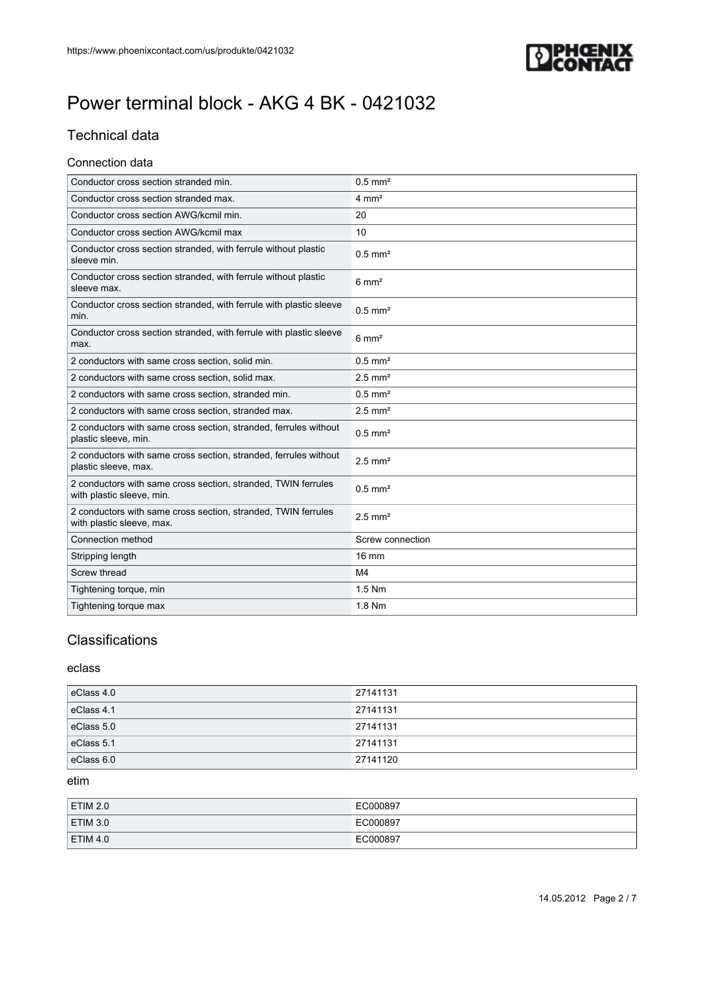

## Technical data

#### Connection data

| Conductor cross section stranded min.                                                      | $0.5$ mm <sup>2</sup> |
|--------------------------------------------------------------------------------------------|-----------------------|
| Conductor cross section stranded max.                                                      | $4 \text{ mm}^2$      |
| Conductor cross section AWG/kcmil min.                                                     | 20                    |
| Conductor cross section AWG/kcmil max                                                      | 10                    |
| Conductor cross section stranded, with ferrule without plastic<br>sleeve min.              | $0.5$ mm <sup>2</sup> |
| Conductor cross section stranded, with ferrule without plastic<br>sleeve max.              | $6 \text{ mm}^2$      |
| Conductor cross section stranded, with ferrule with plastic sleeve<br>min.                 | $0.5$ mm <sup>2</sup> |
| Conductor cross section stranded, with ferrule with plastic sleeve<br>max.                 | $6 \text{ mm}^2$      |
| 2 conductors with same cross section, solid min.                                           | $0.5$ mm <sup>2</sup> |
| 2 conductors with same cross section, solid max.                                           | $2.5$ mm <sup>2</sup> |
| 2 conductors with same cross section, stranded min.                                        | $0.5$ mm <sup>2</sup> |
| 2 conductors with same cross section, stranded max.                                        | $2.5$ mm <sup>2</sup> |
| 2 conductors with same cross section, stranded, ferrules without<br>plastic sleeve, min.   | $0.5$ mm <sup>2</sup> |
| 2 conductors with same cross section, stranded, ferrules without<br>plastic sleeve, max.   | $2.5$ mm <sup>2</sup> |
| 2 conductors with same cross section, stranded, TWIN ferrules<br>with plastic sleeve, min. | $0.5$ mm <sup>2</sup> |
| 2 conductors with same cross section, stranded, TWIN ferrules<br>with plastic sleeve, max. | $2.5$ mm <sup>2</sup> |
| Connection method                                                                          | Screw connection      |
| Stripping length                                                                           | $16 \text{ mm}$       |
| Screw thread                                                                               | M <sub>4</sub>        |
| Tightening torque, min                                                                     | 1.5 Nm                |
| Tightening torque max                                                                      | 1.8 Nm                |

## **Classifications**

## eclass

| eClass 4.0 | 27141131 |
|------------|----------|
| eClass 4.1 | 27141131 |
| eClass 5.0 | 27141131 |
| eClass 5.1 | 27141131 |
| eClass 6.0 | 27141120 |

### etim

| <b>ETIM 2.0</b> | EC000897 |
|-----------------|----------|
| ETIM 3.0        | EC000897 |
| <b>ETIM 4.0</b> | EC000897 |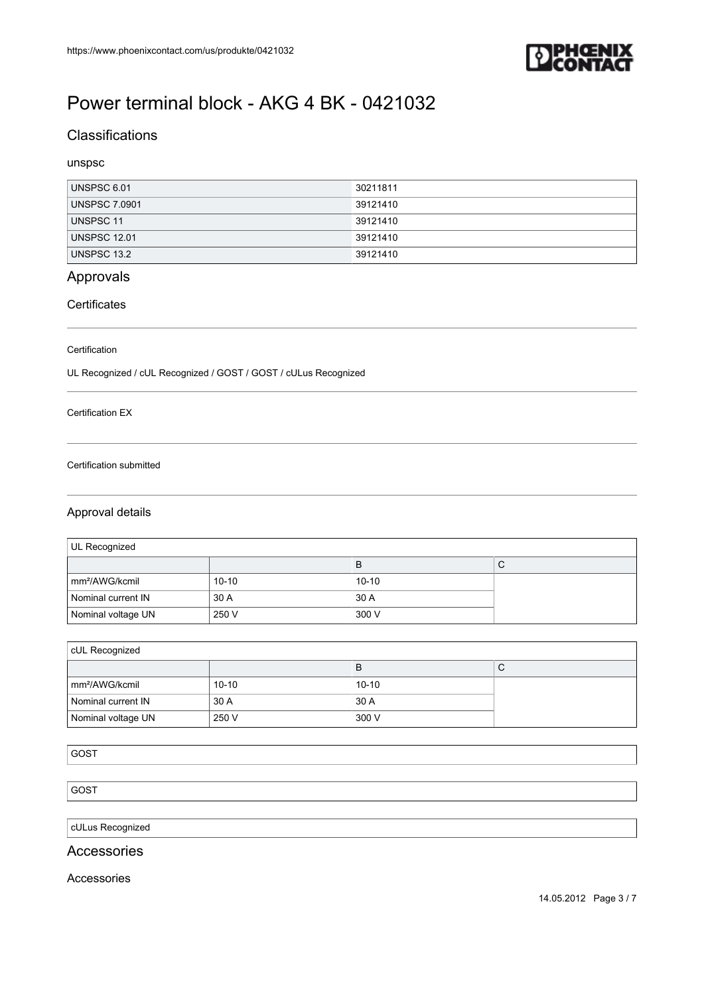

## **Classifications**

### unspsc

| UNSPSC 6.01          | 30211811 |
|----------------------|----------|
| <b>UNSPSC 7.0901</b> | 39121410 |
| UNSPSC 11            | 39121410 |
| <b>UNSPSC 12.01</b>  | 39121410 |
| UNSPSC 13.2          | 39121410 |

## Approvals

## **Certificates**

#### Certification

UL Recognized / cUL Recognized / GOST / GOST / cULus Recognized

### Certification EX

#### Certification submitted

### Approval details

| UL Recognized              |           |           |   |
|----------------------------|-----------|-----------|---|
|                            |           | B         | ◡ |
| mm <sup>2</sup> /AWG/kcmil | $10 - 10$ | $10 - 10$ |   |
| Nominal current IN         | 30 A      | 30 A      |   |
| Nominal voltage UN         | 250 V     | 300 V     |   |

| cUL Recognized             |           |           |   |
|----------------------------|-----------|-----------|---|
|                            |           | в         | ◡ |
| mm <sup>2</sup> /AWG/kcmil | $10 - 10$ | $10 - 10$ |   |
| Nominal current IN         | 30 A      | 30 A      |   |
| Nominal voltage UN         | 250 V     | 300 V     |   |

### GOST

GOST

cULus Recognized

### Accessories

Accessories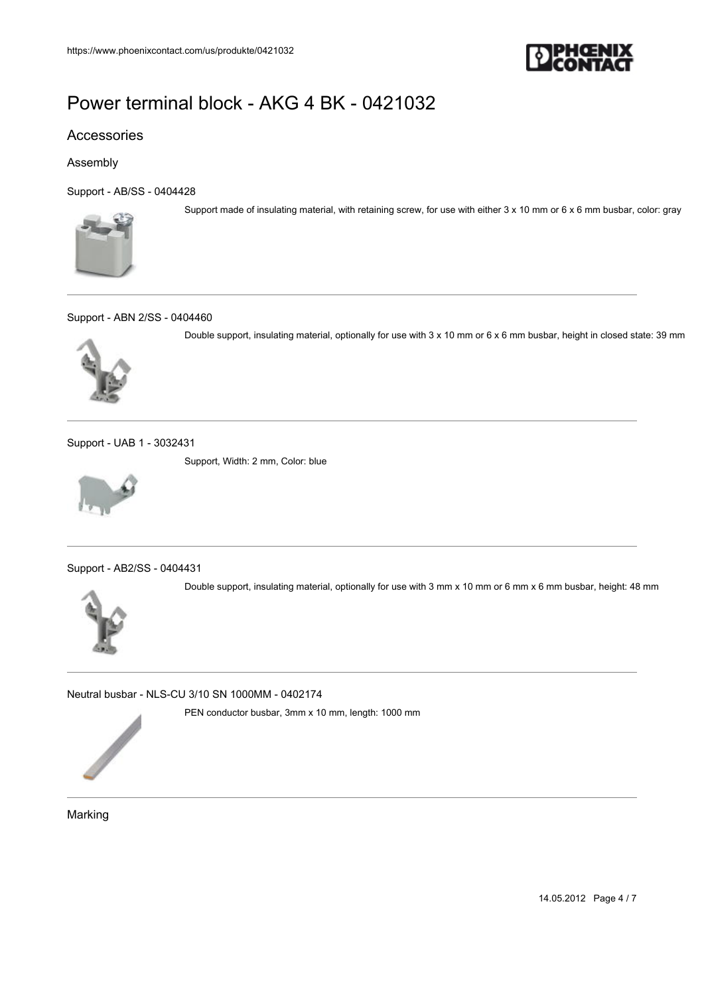

## Accessories

#### Assembly

[Support - AB/SS - 0404428](https://www.phoenixcontact.com/us/produkte/0404428)

Support made of insulating material, with retaining screw, for use with either 3 x 10 mm or 6 x 6 mm busbar, color: gray



#### [Support - ABN 2/SS - 0404460](https://www.phoenixcontact.com/us/produkte/0404460)



Double support, insulating material, optionally for use with 3 x 10 mm or 6 x 6 mm busbar, height in closed state: 39 mm

[Support - UAB 1 - 3032431](https://www.phoenixcontact.com/us/produkte/3032431)

Support, Width: 2 mm, Color: blue



[Support - AB2/SS - 0404431](https://www.phoenixcontact.com/us/produkte/0404431)

Double support, insulating material, optionally for use with 3 mm x 10 mm or 6 mm x 6 mm busbar, height: 48 mm



[Neutral busbar - NLS-CU 3/10 SN 1000MM - 0402174](https://www.phoenixcontact.com/us/produkte/0402174)

PEN conductor busbar, 3mm x 10 mm, length: 1000 mm



Marking

14.05.2012 Page 4 / 7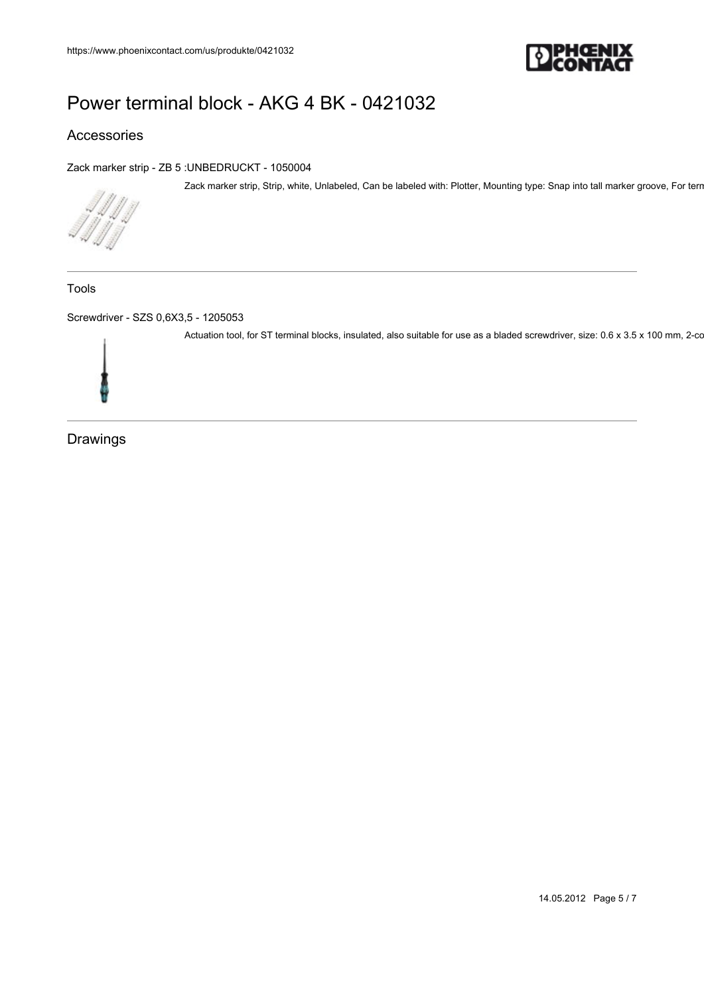

## Accessories

[Zack marker strip - ZB 5 :UNBEDRUCKT - 1050004](https://www.phoenixcontact.com/us/produkte/1050004)

Zack marker strip, Strip, white, Unlabeled, Can be labeled with: Plotter, Mounting type: Snap into tall marker groove, For terr

Tools

[Screwdriver - SZS 0,6X3,5 - 1205053](https://www.phoenixcontact.com/us/produkte/1205053)

Actuation tool, for ST terminal blocks, insulated, also suitable for use as a bladed screwdriver, size: 0.6 x 3.5 x 100 mm, 2-component

Drawings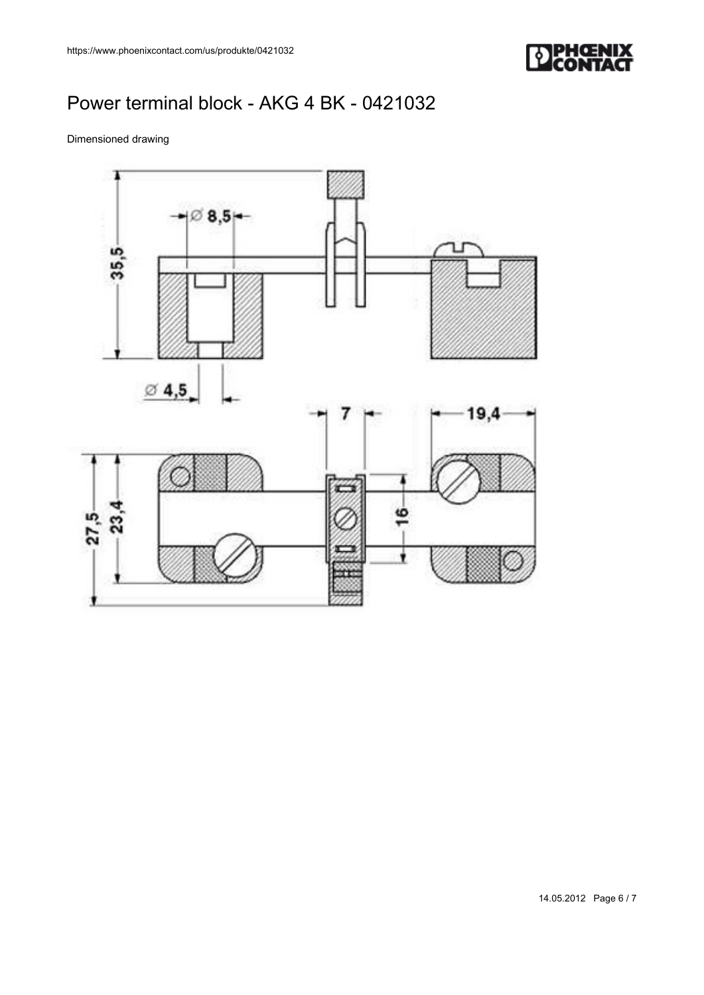

## Dimensioned drawing



14.05.2012 Page 6 / 7